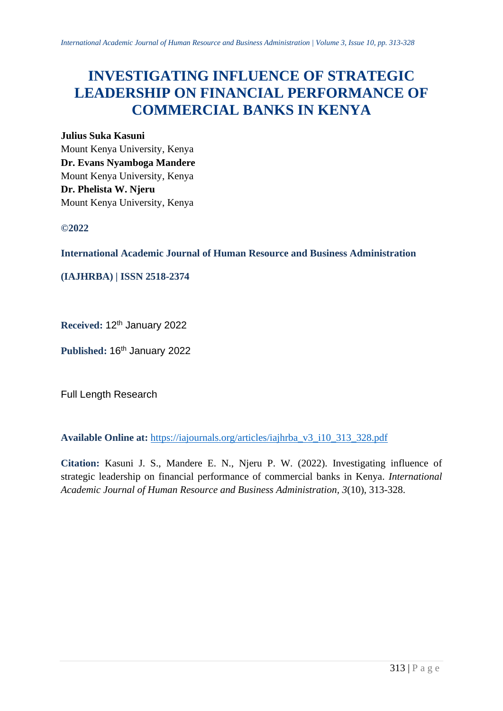# **INVESTIGATING INFLUENCE OF STRATEGIC LEADERSHIP ON FINANCIAL PERFORMANCE OF COMMERCIAL BANKS IN KENYA**

#### **Julius Suka Kasuni**

Mount Kenya University, Kenya **Dr. Evans Nyamboga Mandere**  Mount Kenya University, Kenya **Dr. Phelista W. Njeru** Mount Kenya University, Kenya

# **©2022**

**International Academic Journal of Human Resource and Business Administration**

**(IAJHRBA) | ISSN 2518-2374**

**Received:** 12th January 2022

Published: 16<sup>th</sup> January 2022

Full Length Research

**Available Online at:** [https://iajournals.org/articles/iajhrba\\_v3\\_i10\\_313\\_328.pdf](https://iajournals.org/articles/iajhrba_v3_i10_313_328.pdf)

**Citation:** Kasuni J. S., Mandere E. N., Njeru P. W. (2022). Investigating influence of strategic leadership on financial performance of commercial banks in Kenya. *International Academic Journal of Human Resource and Business Administration, 3*(10), 313-328.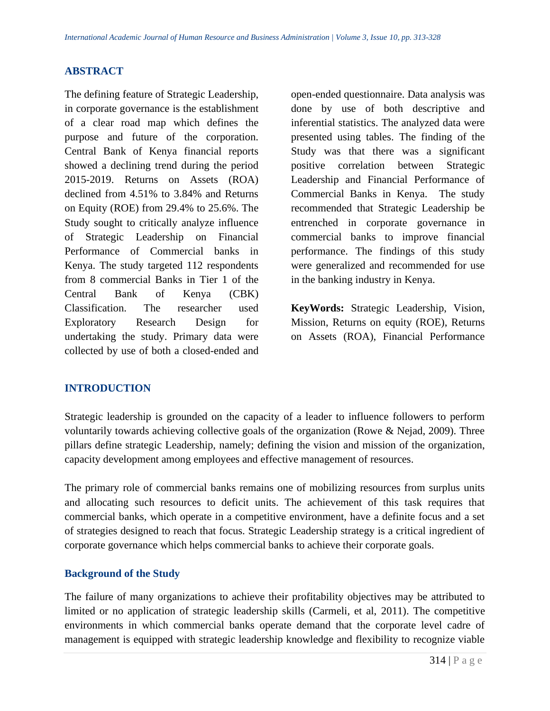# **ABSTRACT**

The defining feature of Strategic Leadership, in corporate governance is the establishment of a clear road map which defines the purpose and future of the corporation. Central Bank of Kenya financial reports showed a declining trend during the period 2015-2019. Returns on Assets (ROA) declined from 4.51% to 3.84% and Returns on Equity (ROE) from 29.4% to 25.6%. The Study sought to critically analyze influence of Strategic Leadership on Financial Performance of Commercial banks in Kenya. The study targeted 112 respondents from 8 commercial Banks in Tier 1 of the Central Bank of Kenya (CBK) Classification. The researcher used Exploratory Research Design for undertaking the study. Primary data were collected by use of both a closed-ended and open-ended questionnaire. Data analysis was done by use of both descriptive and inferential statistics. The analyzed data were presented using tables. The finding of the Study was that there was a significant positive correlation between Strategic Leadership and Financial Performance of Commercial Banks in Kenya. The study recommended that Strategic Leadership be entrenched in corporate governance in commercial banks to improve financial performance. The findings of this study were generalized and recommended for use in the banking industry in Kenya.

**KeyWords:** Strategic Leadership, Vision, Mission, Returns on equity (ROE), Returns on Assets (ROA), Financial Performance

# **INTRODUCTION**

Strategic leadership is grounded on the capacity of a leader to influence followers to perform voluntarily towards achieving collective goals of the organization (Rowe & Nejad, 2009). Three pillars define strategic Leadership, namely; defining the vision and mission of the organization, capacity development among employees and effective management of resources.

The primary role of commercial banks remains one of mobilizing resources from surplus units and allocating such resources to deficit units. The achievement of this task requires that commercial banks, which operate in a competitive environment, have a definite focus and a set of strategies designed to reach that focus. Strategic Leadership strategy is a critical ingredient of corporate governance which helps commercial banks to achieve their corporate goals.

# **Background of the Study**

The failure of many organizations to achieve their profitability objectives may be attributed to limited or no application of strategic leadership skills (Carmeli, et al, 2011). The competitive environments in which commercial banks operate demand that the corporate level cadre of management is equipped with strategic leadership knowledge and flexibility to recognize viable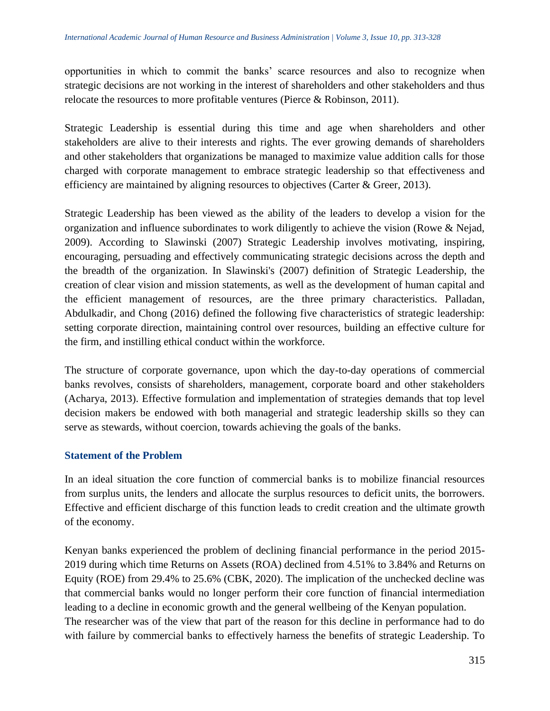opportunities in which to commit the banks' scarce resources and also to recognize when strategic decisions are not working in the interest of shareholders and other stakeholders and thus relocate the resources to more profitable ventures (Pierce & Robinson, 2011).

Strategic Leadership is essential during this time and age when shareholders and other stakeholders are alive to their interests and rights. The ever growing demands of shareholders and other stakeholders that organizations be managed to maximize value addition calls for those charged with corporate management to embrace strategic leadership so that effectiveness and efficiency are maintained by aligning resources to objectives (Carter & Greer, 2013).

Strategic Leadership has been viewed as the ability of the leaders to develop a vision for the organization and influence subordinates to work diligently to achieve the vision (Rowe & Nejad, 2009). According to Slawinski (2007) Strategic Leadership involves motivating, inspiring, encouraging, persuading and effectively communicating strategic decisions across the depth and the breadth of the organization. In Slawinski's (2007) definition of Strategic Leadership, the creation of clear vision and mission statements, as well as the development of human capital and the efficient management of resources, are the three primary characteristics. Palladan, Abdulkadir, and Chong (2016) defined the following five characteristics of strategic leadership: setting corporate direction, maintaining control over resources, building an effective culture for the firm, and instilling ethical conduct within the workforce.

The structure of corporate governance, upon which the day-to-day operations of commercial banks revolves, consists of shareholders, management, corporate board and other stakeholders (Acharya, 2013). Effective formulation and implementation of strategies demands that top level decision makers be endowed with both managerial and strategic leadership skills so they can serve as stewards, without coercion, towards achieving the goals of the banks.

#### **Statement of the Problem**

In an ideal situation the core function of commercial banks is to mobilize financial resources from surplus units, the lenders and allocate the surplus resources to deficit units, the borrowers. Effective and efficient discharge of this function leads to credit creation and the ultimate growth of the economy.

Kenyan banks experienced the problem of declining financial performance in the period 2015- 2019 during which time Returns on Assets (ROA) declined from 4.51% to 3.84% and Returns on Equity (ROE) from 29.4% to 25.6% (CBK, 2020). The implication of the unchecked decline was that commercial banks would no longer perform their core function of financial intermediation leading to a decline in economic growth and the general wellbeing of the Kenyan population. The researcher was of the view that part of the reason for this decline in performance had to do with failure by commercial banks to effectively harness the benefits of strategic Leadership. To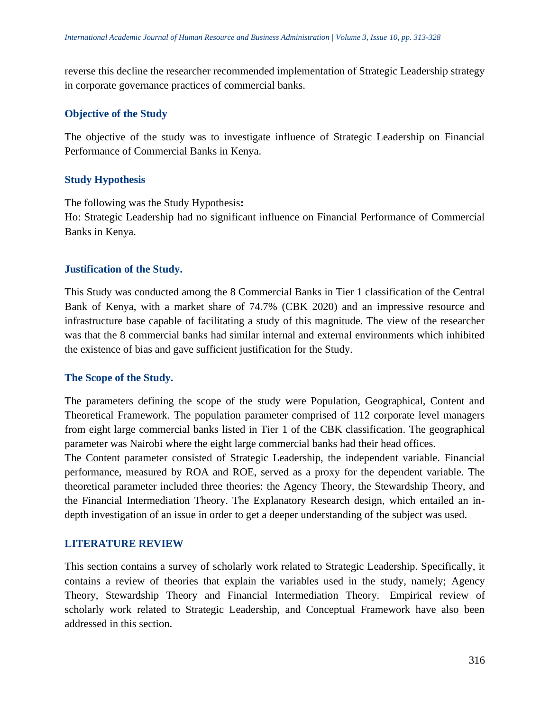reverse this decline the researcher recommended implementation of Strategic Leadership strategy in corporate governance practices of commercial banks.

### **Objective of the Study**

The objective of the study was to investigate influence of Strategic Leadership on Financial Performance of Commercial Banks in Kenya.

### **Study Hypothesis**

The following was the Study Hypothesis**:** Ho: Strategic Leadership had no significant influence on Financial Performance of Commercial Banks in Kenya.

### **Justification of the Study.**

This Study was conducted among the 8 Commercial Banks in Tier 1 classification of the Central Bank of Kenya, with a market share of 74.7% (CBK 2020) and an impressive resource and infrastructure base capable of facilitating a study of this magnitude. The view of the researcher was that the 8 commercial banks had similar internal and external environments which inhibited the existence of bias and gave sufficient justification for the Study.

#### **The Scope of the Study.**

The parameters defining the scope of the study were Population, Geographical, Content and Theoretical Framework. The population parameter comprised of 112 corporate level managers from eight large commercial banks listed in Tier 1 of the CBK classification. The geographical parameter was Nairobi where the eight large commercial banks had their head offices.

The Content parameter consisted of Strategic Leadership, the independent variable. Financial performance, measured by ROA and ROE, served as a proxy for the dependent variable. The theoretical parameter included three theories: the Agency Theory, the Stewardship Theory, and the Financial Intermediation Theory. The Explanatory Research design, which entailed an indepth investigation of an issue in order to get a deeper understanding of the subject was used.

#### **LITERATURE REVIEW**

This section contains a survey of scholarly work related to Strategic Leadership. Specifically, it contains a review of theories that explain the variables used in the study, namely; Agency Theory, Stewardship Theory and Financial Intermediation Theory. Empirical review of scholarly work related to Strategic Leadership, and Conceptual Framework have also been addressed in this section.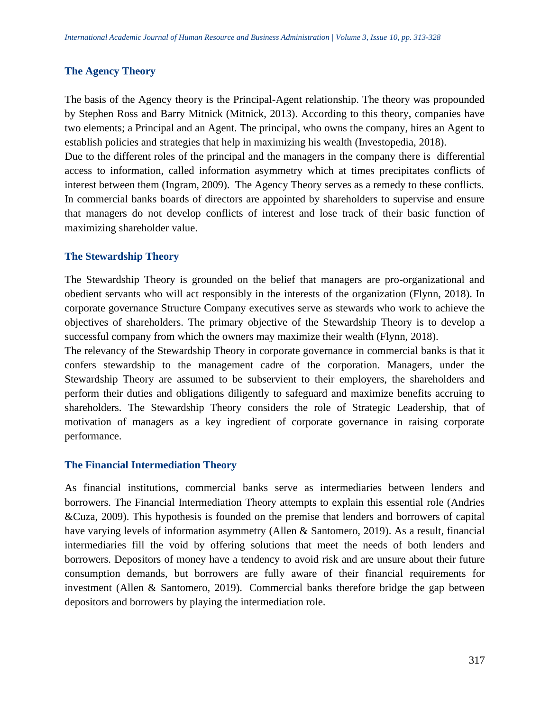#### **The Agency Theory**

The basis of the Agency theory is the Principal-Agent relationship. The theory was propounded by Stephen Ross and Barry Mitnick (Mitnick, 2013). According to this theory, companies have two elements; a Principal and an Agent. The principal, who owns the company, hires an Agent to establish policies and strategies that help in maximizing his wealth (Investopedia, 2018).

Due to the different roles of the principal and the managers in the company there is differential access to information, called information asymmetry which at times precipitates conflicts of interest between them (Ingram, 2009). The Agency Theory serves as a remedy to these conflicts. In commercial banks boards of directors are appointed by shareholders to supervise and ensure that managers do not develop conflicts of interest and lose track of their basic function of maximizing shareholder value.

#### **The Stewardship Theory**

The Stewardship Theory is grounded on the belief that managers are pro-organizational and obedient servants who will act responsibly in the interests of the organization (Flynn, 2018). In corporate governance Structure Company executives serve as stewards who work to achieve the objectives of shareholders. The primary objective of the Stewardship Theory is to develop a successful company from which the owners may maximize their wealth (Flynn, 2018).

The relevancy of the Stewardship Theory in corporate governance in commercial banks is that it confers stewardship to the management cadre of the corporation. Managers, under the Stewardship Theory are assumed to be subservient to their employers, the shareholders and perform their duties and obligations diligently to safeguard and maximize benefits accruing to shareholders. The Stewardship Theory considers the role of Strategic Leadership, that of motivation of managers as a key ingredient of corporate governance in raising corporate performance.

#### **The Financial Intermediation Theory**

As financial institutions, commercial banks serve as intermediaries between lenders and borrowers. The Financial Intermediation Theory attempts to explain this essential role (Andries &Cuza, 2009). This hypothesis is founded on the premise that lenders and borrowers of capital have varying levels of information asymmetry (Allen & Santomero, 2019). As a result, financial intermediaries fill the void by offering solutions that meet the needs of both lenders and borrowers. Depositors of money have a tendency to avoid risk and are unsure about their future consumption demands, but borrowers are fully aware of their financial requirements for investment (Allen & Santomero, 2019). Commercial banks therefore bridge the gap between depositors and borrowers by playing the intermediation role.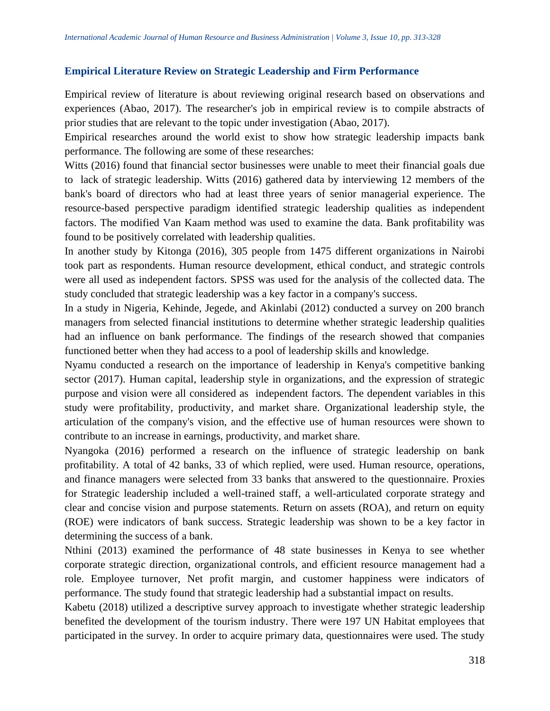### **Empirical Literature Review on Strategic Leadership and Firm Performance**

Empirical review of literature is about reviewing original research based on observations and experiences (Abao, 2017). The researcher's job in empirical review is to compile abstracts of prior studies that are relevant to the topic under investigation (Abao, 2017).

Empirical researches around the world exist to show how strategic leadership impacts bank performance. The following are some of these researches:

Witts (2016) found that financial sector businesses were unable to meet their financial goals due to lack of strategic leadership. Witts (2016) gathered data by interviewing 12 members of the bank's board of directors who had at least three years of senior managerial experience. The resource-based perspective paradigm identified strategic leadership qualities as independent factors. The modified Van Kaam method was used to examine the data. Bank profitability was found to be positively correlated with leadership qualities.

In another study by Kitonga (2016), 305 people from 1475 different organizations in Nairobi took part as respondents. Human resource development, ethical conduct, and strategic controls were all used as independent factors. SPSS was used for the analysis of the collected data. The study concluded that strategic leadership was a key factor in a company's success.

In a study in Nigeria, Kehinde, Jegede, and Akinlabi (2012) conducted a survey on 200 branch managers from selected financial institutions to determine whether strategic leadership qualities had an influence on bank performance. The findings of the research showed that companies functioned better when they had access to a pool of leadership skills and knowledge.

Nyamu conducted a research on the importance of leadership in Kenya's competitive banking sector (2017). Human capital, leadership style in organizations, and the expression of strategic purpose and vision were all considered as independent factors. The dependent variables in this study were profitability, productivity, and market share. Organizational leadership style, the articulation of the company's vision, and the effective use of human resources were shown to contribute to an increase in earnings, productivity, and market share.

Nyangoka (2016) performed a research on the influence of strategic leadership on bank profitability. A total of 42 banks, 33 of which replied, were used. Human resource, operations, and finance managers were selected from 33 banks that answered to the questionnaire. Proxies for Strategic leadership included a well-trained staff, a well-articulated corporate strategy and clear and concise vision and purpose statements. Return on assets (ROA), and return on equity (ROE) were indicators of bank success. Strategic leadership was shown to be a key factor in determining the success of a bank.

Nthini (2013) examined the performance of 48 state businesses in Kenya to see whether corporate strategic direction, organizational controls, and efficient resource management had a role. Employee turnover, Net profit margin, and customer happiness were indicators of performance. The study found that strategic leadership had a substantial impact on results.

Kabetu (2018) utilized a descriptive survey approach to investigate whether strategic leadership benefited the development of the tourism industry. There were 197 UN Habitat employees that participated in the survey. In order to acquire primary data, questionnaires were used. The study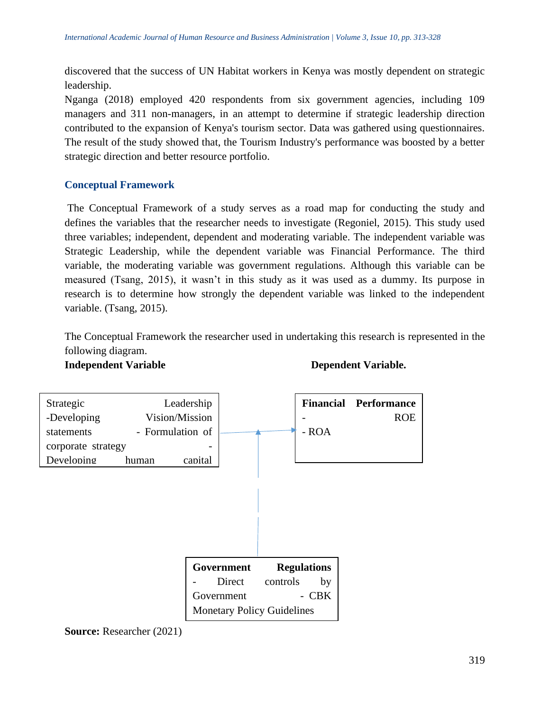discovered that the success of UN Habitat workers in Kenya was mostly dependent on strategic leadership.

Nganga (2018) employed 420 respondents from six government agencies, including 109 managers and 311 non-managers, in an attempt to determine if strategic leadership direction contributed to the expansion of Kenya's tourism sector. Data was gathered using questionnaires. The result of the study showed that, the Tourism Industry's performance was boosted by a better strategic direction and better resource portfolio.

# **Conceptual Framework**

The Conceptual Framework of a study serves as a road map for conducting the study and defines the variables that the researcher needs to investigate (Regoniel, 2015). This study used three variables; independent, dependent and moderating variable. The independent variable was Strategic Leadership, while the dependent variable was Financial Performance. The third variable, the moderating variable was government regulations. Although this variable can be measured (Tsang, 2015), it wasn't in this study as it was used as a dummy. Its purpose in research is to determine how strongly the dependent variable was linked to the independent variable. (Tsang, 2015).

The Conceptual Framework the researcher used in undertaking this research is represented in the following diagram.

**Independent Variable Dependent Variable.** 



**Source:** Researcher (2021)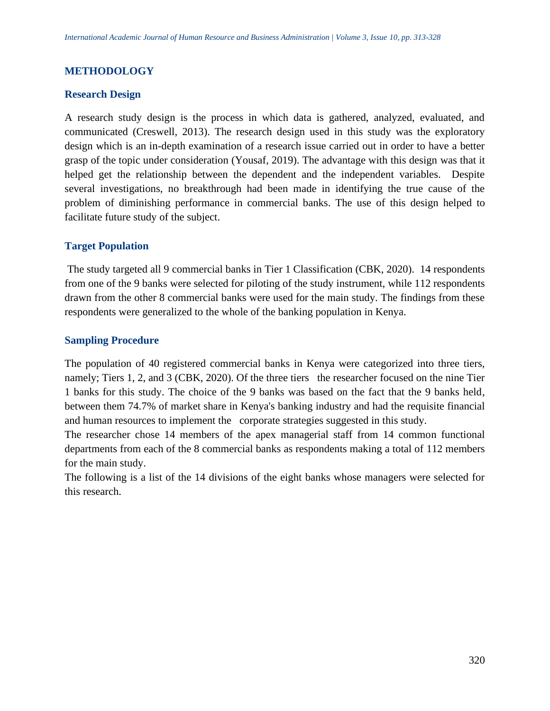### **METHODOLOGY**

#### **Research Design**

A research study design is the process in which data is gathered, analyzed, evaluated, and communicated (Creswell, 2013). The research design used in this study was the exploratory design which is an in-depth examination of a research issue carried out in order to have a better grasp of the topic under consideration (Yousaf, 2019). The advantage with this design was that it helped get the relationship between the dependent and the independent variables. Despite several investigations, no breakthrough had been made in identifying the true cause of the problem of diminishing performance in commercial banks. The use of this design helped to facilitate future study of the subject.

#### **Target Population**

The study targeted all 9 commercial banks in Tier 1 Classification (CBK, 2020). 14 respondents from one of the 9 banks were selected for piloting of the study instrument, while 112 respondents drawn from the other 8 commercial banks were used for the main study. The findings from these respondents were generalized to the whole of the banking population in Kenya.

#### **Sampling Procedure**

The population of 40 registered commercial banks in Kenya were categorized into three tiers, namely; Tiers 1, 2, and 3 (CBK, 2020). Of the three tiers the researcher focused on the nine Tier 1 banks for this study. The choice of the 9 banks was based on the fact that the 9 banks held, between them 74.7% of market share in Kenya's banking industry and had the requisite financial and human resources to implement the corporate strategies suggested in this study.

The researcher chose 14 members of the apex managerial staff from 14 common functional departments from each of the 8 commercial banks as respondents making a total of 112 members for the main study.

The following is a list of the 14 divisions of the eight banks whose managers were selected for this research.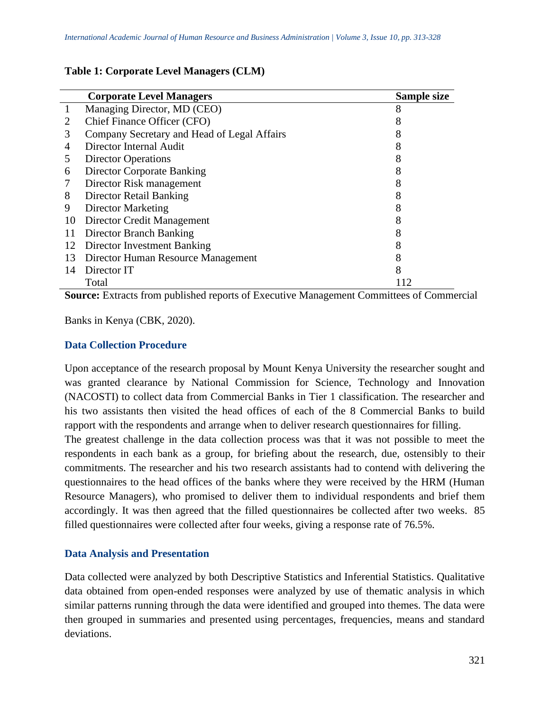#### **Table 1: Corporate Level Managers (CLM)**

|    | <b>Corporate Level Managers</b>             | Sample size |
|----|---------------------------------------------|-------------|
|    | Managing Director, MD (CEO)                 | 8           |
| 2  | Chief Finance Officer (CFO)                 |             |
| 3  | Company Secretary and Head of Legal Affairs |             |
| 4  | Director Internal Audit                     |             |
| 5  | <b>Director Operations</b>                  |             |
| 6  | <b>Director Corporate Banking</b>           |             |
|    | Director Risk management                    |             |
| 8  | Director Retail Banking                     | 8           |
| 9  | <b>Director Marketing</b>                   |             |
| 10 | Director Credit Management                  |             |
| 11 | Director Branch Banking                     | 8           |
| 12 | Director Investment Banking                 |             |
| 13 | Director Human Resource Management          |             |
| 14 | Director IT                                 | 8           |
|    | Total                                       | 12          |

**Source:** Extracts from published reports of Executive Management Committees of Commercial

Banks in Kenya (CBK, 2020).

### **Data Collection Procedure**

Upon acceptance of the research proposal by Mount Kenya University the researcher sought and was granted clearance by National Commission for Science, Technology and Innovation (NACOSTI) to collect data from Commercial Banks in Tier 1 classification. The researcher and his two assistants then visited the head offices of each of the 8 Commercial Banks to build rapport with the respondents and arrange when to deliver research questionnaires for filling.

The greatest challenge in the data collection process was that it was not possible to meet the respondents in each bank as a group, for briefing about the research, due, ostensibly to their commitments. The researcher and his two research assistants had to contend with delivering the questionnaires to the head offices of the banks where they were received by the HRM (Human Resource Managers), who promised to deliver them to individual respondents and brief them accordingly. It was then agreed that the filled questionnaires be collected after two weeks. 85 filled questionnaires were collected after four weeks, giving a response rate of 76.5%.

#### **Data Analysis and Presentation**

Data collected were analyzed by both Descriptive Statistics and Inferential Statistics. Qualitative data obtained from open-ended responses were analyzed by use of thematic analysis in which similar patterns running through the data were identified and grouped into themes. The data were then grouped in summaries and presented using percentages, frequencies, means and standard deviations.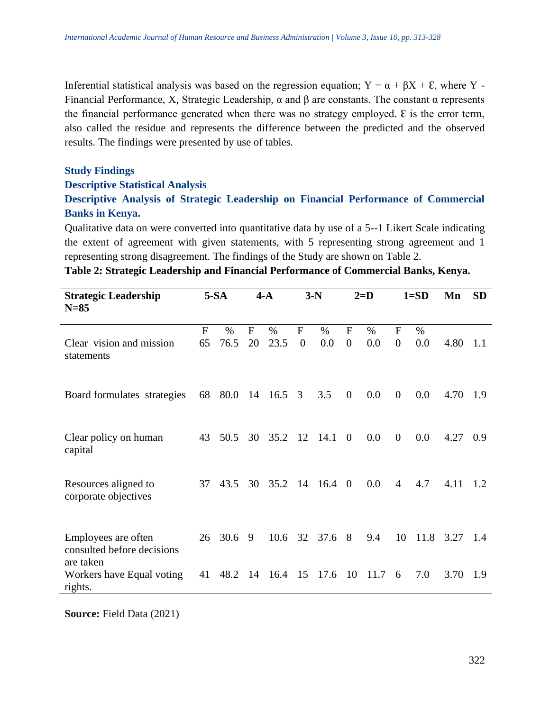Inferential statistical analysis was based on the regression equation;  $Y = \alpha + \beta X + \epsilon$ , where Y -Financial Performance, X, Strategic Leadership,  $\alpha$  and β are constants. The constant  $\alpha$  represents the financial performance generated when there was no strategy employed.  $\epsilon$  is the error term, also called the residue and represents the difference between the predicted and the observed results. The findings were presented by use of tables.

#### **Study Findings**

#### **Descriptive Statistical Analysis**

# **Descriptive Analysis of Strategic Leadership on Financial Performance of Commercial Banks in Kenya.**

Qualitative data on were converted into quantitative data by use of a 5--1 Likert Scale indicating the extent of agreement with given statements, with 5 representing strong agreement and 1 representing strong disagreement. The findings of the Study are shown on Table 2.

|  |  | Table 2: Strategic Leadership and Financial Performance of Commercial Banks, Kenya. |  |  |
|--|--|-------------------------------------------------------------------------------------|--|--|
|  |  |                                                                                     |  |  |

| <b>Strategic Leadership</b><br>$N=85$                          |                    | $5-SA$       |         | $4-A$          | $3-N$               |                |                                | $2=D$       |                                  | $1 = SD$    | Mn   | <b>SD</b> |
|----------------------------------------------------------------|--------------------|--------------|---------|----------------|---------------------|----------------|--------------------------------|-------------|----------------------------------|-------------|------|-----------|
| Clear vision and mission<br>statements                         | $\mathbf{F}$<br>65 | $\%$<br>76.5 | F<br>20 | $\%$<br>23.5   | F<br>$\overline{0}$ | $\%$<br>0.0    | $\mathbf{F}$<br>$\overline{0}$ | $\%$<br>0.0 | $\overline{F}$<br>$\overline{0}$ | $\%$<br>0.0 | 4.80 | 1.1       |
| Board formulates strategies                                    | 68                 |              |         | 80.0 14 16.5 3 |                     | 3.5            | $\overline{0}$                 | 0.0         | $\overline{0}$                   | 0.0         | 4.70 | -1.9      |
| Clear policy on human<br>capital                               | 43                 | 50.5         | 30      | 35.2           | 12                  | 14.1           | $\theta$                       | 0.0         | $\overline{0}$                   | 0.0         | 4.27 | 0.9       |
| Resources aligned to<br>corporate objectives                   | 37                 | 43.5         | 30      | 35.2 14        |                     | $16.4 \quad 0$ |                                | 0.0         | $\overline{4}$                   | 4.7         | 4.11 | 1.2       |
| Employees are often<br>consulted before decisions<br>are taken | 26                 | 30.6         | 9       | 10.6           | 32                  | 37.6           | 8                              | 9.4         | 10                               | 11.8        | 3.27 | 1.4       |
| Workers have Equal voting<br>rights.                           | 41                 | 48.2         | 14      | 16.4 15 17.6   |                     |                | -10                            | 11.7        | 6                                | 7.0         | 3.70 | 1.9       |

**Source:** Field Data (2021)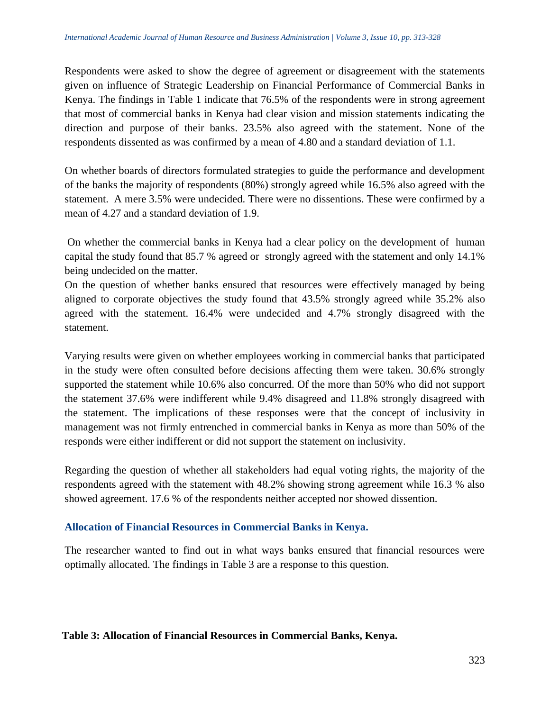Respondents were asked to show the degree of agreement or disagreement with the statements given on influence of Strategic Leadership on Financial Performance of Commercial Banks in Kenya. The findings in Table 1 indicate that 76.5% of the respondents were in strong agreement that most of commercial banks in Kenya had clear vision and mission statements indicating the direction and purpose of their banks. 23.5% also agreed with the statement. None of the respondents dissented as was confirmed by a mean of 4.80 and a standard deviation of 1.1.

On whether boards of directors formulated strategies to guide the performance and development of the banks the majority of respondents (80%) strongly agreed while 16.5% also agreed with the statement. A mere 3.5% were undecided. There were no dissentions. These were confirmed by a mean of 4.27 and a standard deviation of 1.9.

On whether the commercial banks in Kenya had a clear policy on the development of human capital the study found that 85.7 % agreed or strongly agreed with the statement and only 14.1% being undecided on the matter.

On the question of whether banks ensured that resources were effectively managed by being aligned to corporate objectives the study found that 43.5% strongly agreed while 35.2% also agreed with the statement. 16.4% were undecided and 4.7% strongly disagreed with the statement.

Varying results were given on whether employees working in commercial banks that participated in the study were often consulted before decisions affecting them were taken. 30.6% strongly supported the statement while 10.6% also concurred. Of the more than 50% who did not support the statement 37.6% were indifferent while 9.4% disagreed and 11.8% strongly disagreed with the statement. The implications of these responses were that the concept of inclusivity in management was not firmly entrenched in commercial banks in Kenya as more than 50% of the responds were either indifferent or did not support the statement on inclusivity.

Regarding the question of whether all stakeholders had equal voting rights, the majority of the respondents agreed with the statement with 48.2% showing strong agreement while 16.3 % also showed agreement. 17.6 % of the respondents neither accepted nor showed dissention.

# **Allocation of Financial Resources in Commercial Banks in Kenya.**

The researcher wanted to find out in what ways banks ensured that financial resources were optimally allocated. The findings in Table 3 are a response to this question.

#### **Table 3: Allocation of Financial Resources in Commercial Banks, Kenya.**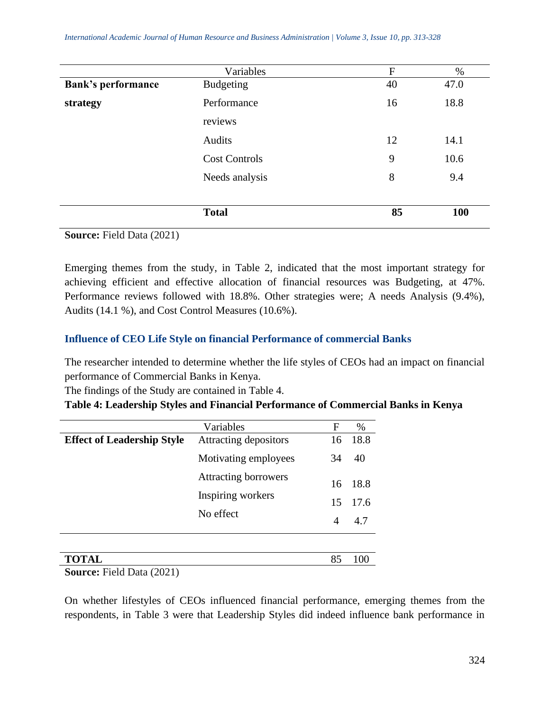*International Academic Journal of Human Resource and Business Administration | Volume 3, Issue 10, pp. 313-328*

|                           | Variables            | $\overline{F}$ | $\%$ |
|---------------------------|----------------------|----------------|------|
| <b>Bank's performance</b> | <b>Budgeting</b>     | 40             | 47.0 |
| strategy                  | Performance          | 16             | 18.8 |
|                           | reviews              |                |      |
|                           | Audits               | 12             | 14.1 |
|                           | <b>Cost Controls</b> | 9              | 10.6 |
|                           | Needs analysis       | 8              | 9.4  |
|                           |                      |                |      |
|                           | <b>Total</b>         | 85             | 100  |

**Source:** Field Data (2021)

Emerging themes from the study, in Table 2, indicated that the most important strategy for achieving efficient and effective allocation of financial resources was Budgeting, at 47%. Performance reviews followed with 18.8%. Other strategies were; A needs Analysis (9.4%), Audits (14.1 %), and Cost Control Measures (10.6%).

### **Influence of CEO Life Style on financial Performance of commercial Banks**

The researcher intended to determine whether the life styles of CEOs had an impact on financial performance of Commercial Banks in Kenya.

The findings of the Study are contained in Table 4.

**Table 4: Leadership Styles and Financial Performance of Commercial Banks in Kenya**

|                                   | Variables                   | F       | %    |
|-----------------------------------|-----------------------------|---------|------|
| <b>Effect of Leadership Style</b> | Attracting depositors       | 16      | 18.8 |
|                                   | Motivating employees        | 34      | 40   |
|                                   | <b>Attracting borrowers</b> | 16      | 18.8 |
|                                   | Inspiring workers           |         | 17.6 |
|                                   | No effect                   | 15<br>4 | 4.7  |
|                                   |                             |         |      |
|                                   |                             |         |      |
|                                   |                             | 85      |      |

**Source:** Field Data (2021)

On whether lifestyles of CEOs influenced financial performance, emerging themes from the respondents, in Table 3 were that Leadership Styles did indeed influence bank performance in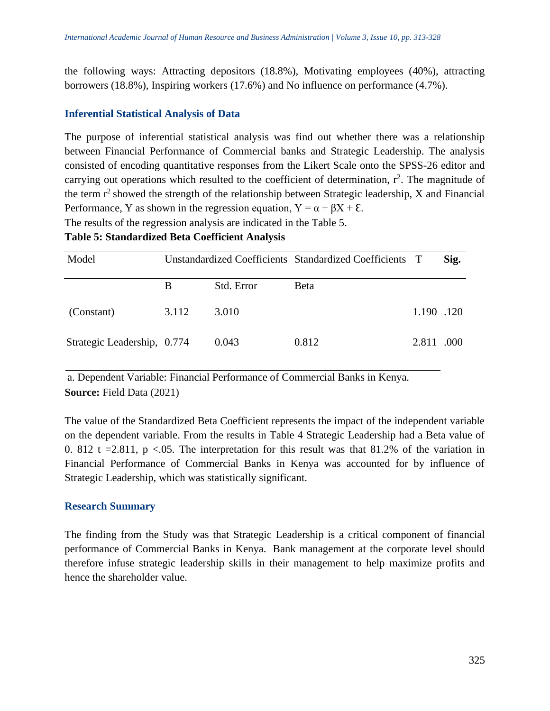the following ways: Attracting depositors (18.8%), Motivating employees (40%), attracting borrowers (18.8%), Inspiring workers (17.6%) and No influence on performance (4.7%).

#### **Inferential Statistical Analysis of Data**

The purpose of inferential statistical analysis was find out whether there was a relationship between Financial Performance of Commercial banks and Strategic Leadership. The analysis consisted of encoding quantitative responses from the Likert Scale onto the SPSS-26 editor and carrying out operations which resulted to the coefficient of determination,  $r^2$ . The magnitude of the term  $r^2$  showed the strength of the relationship between Strategic leadership, X and Financial Performance, Y as shown in the regression equation,  $Y = \alpha + \beta X + \epsilon$ .

The results of the regression analysis are indicated in the Table 5.

#### **Table 5: Standardized Beta Coefficient Analysis**

| Model                       | Unstandardized Coefficients Standardized Coefficients T |            |             |            | Sig. |
|-----------------------------|---------------------------------------------------------|------------|-------------|------------|------|
|                             |                                                         | Std. Error | <b>Beta</b> |            |      |
| (Constant)                  | 3.112                                                   | 3.010      |             | 1.190 .120 |      |
| Strategic Leadership, 0.774 |                                                         | 0.043      | 0.812       | 2.811      | .000 |

a. Dependent Variable: Financial Performance of Commercial Banks in Kenya. **Source:** Field Data (2021)

The value of the Standardized Beta Coefficient represents the impact of the independent variable on the dependent variable. From the results in Table 4 Strategic Leadership had a Beta value of 0. 812 t = 2.811, p <.05. The interpretation for this result was that 81.2% of the variation in Financial Performance of Commercial Banks in Kenya was accounted for by influence of Strategic Leadership, which was statistically significant.

#### **Research Summary**

The finding from the Study was that Strategic Leadership is a critical component of financial performance of Commercial Banks in Kenya. Bank management at the corporate level should therefore infuse strategic leadership skills in their management to help maximize profits and hence the shareholder value.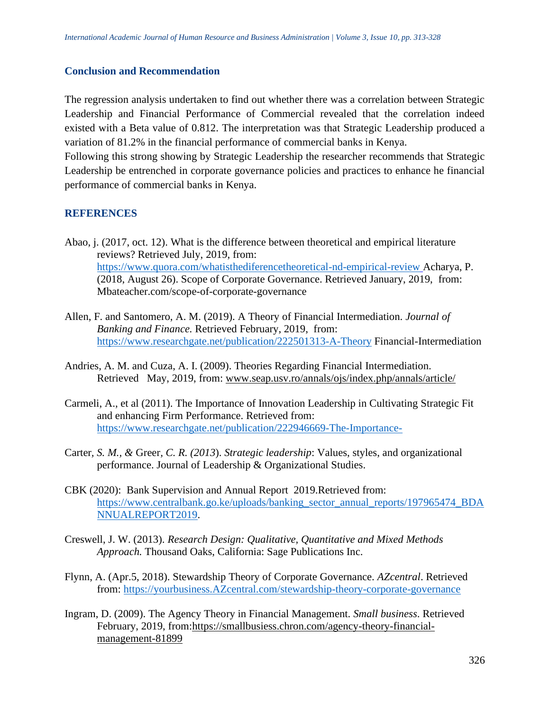#### **Conclusion and Recommendation**

The regression analysis undertaken to find out whether there was a correlation between Strategic Leadership and Financial Performance of Commercial revealed that the correlation indeed existed with a Beta value of 0.812. The interpretation was that Strategic Leadership produced a variation of 81.2% in the financial performance of commercial banks in Kenya.

Following this strong showing by Strategic Leadership the researcher recommends that Strategic Leadership be entrenched in corporate governance policies and practices to enhance he financial performance of commercial banks in Kenya.

#### **REFERENCES**

- Abao, j. (2017, oct. 12). What is the difference between theoretical and empirical literature reviews? Retrieved July, 2019, from: <https://www.quora.com/whatisthediferencetheoretical-nd-empirical-review> Acharya, P. (2018, August 26). Scope of Corporate Governance. Retrieved January, 2019, from: Mbateacher.com/scope-of-corporate-governance
- Allen, F. and Santomero, A. M. (2019). A Theory of Financial Intermediation. *Journal of Banking and Finance.* Retrieved February, 2019, from: <https://www.researchgate.net/publication/222501313-A-Theory> Financial-Intermediation
- Andries, A. M. and Cuza, A. I. (2009). Theories Regarding Financial Intermediation. Retrieved May, 2019, from: [www.seap.usv.ro/annals/ojs/index.php/annals/article/](http://www.seap.usv.ro/annals/ojs/index.php/annals/article/)
- Carmeli, A., et al (2011). The Importance of Innovation Leadership in Cultivating Strategic Fit and enhancing Firm Performance. Retrieved from: <https://www.researchgate.net/publication/222946669-The-Importance->
- Carter*, S. M., &* Greer*, C. R. (2013*). *Strategic leadership*: Values, styles, and organizational performance. Journal of Leadership & Organizational Studies.
- CBK (2020): Bank Supervision and Annual Report 2019.Retrieved from: [https://www.centralbank.go.ke/uploads/banking\\_sector\\_annual\\_reports/197965474\\_BDA](https://www.centralbank.go.ke/uploads/banking_sector_annual_reports/197965474_BDANNUALREPORT2019) [NNUALREPORT2019.](https://www.centralbank.go.ke/uploads/banking_sector_annual_reports/197965474_BDANNUALREPORT2019)
- Creswell, J. W. (2013). *Research Design: Qualitative, Quantitative and Mixed Methods Approach.* Thousand Oaks, California: Sage Publications Inc.
- Flynn, A. (Apr.5, 2018). Stewardship Theory of Corporate Governance. *AZcentral*. Retrieved from: [https://yourbusiness.AZcentral.com/stewardship-theory-corporate-governance](https://yourbusiness.azcentral.com/stewardship-theory-corporate-governance)
- Ingram, D. (2009). The Agency Theory in Financial Management. *Small business*. Retrieved February, 2019, from[:https://smallbusiess.chron.com/agency-theory-financial](https://smallbusiess.chron.com/agency-theory-financial-management-81899)[management-8](https://smallbusiess.chron.com/agency-theory-financial-management-81899)1899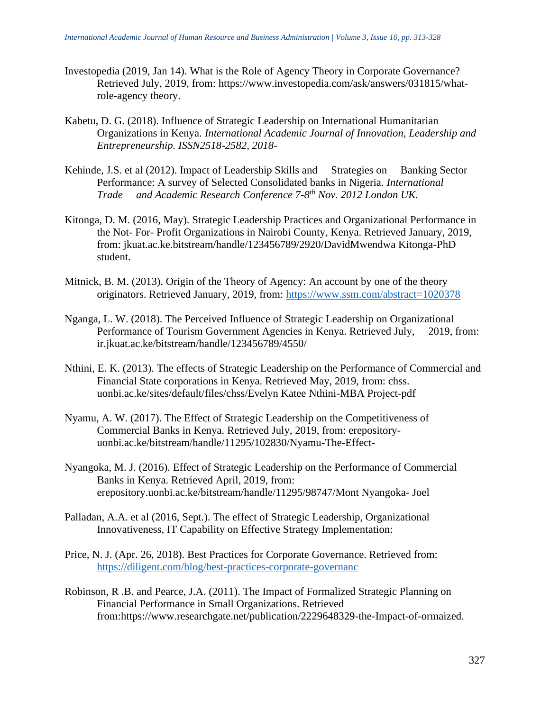- Investopedia (2019, Jan 14). What is the Role of Agency Theory in Corporate Governance? Retrieved July, 2019, from: https://www.investopedia.com/ask/answers/031815/whatrole-agency theory.
- Kabetu, D. G. (2018). Influence of Strategic Leadership on International Humanitarian Organizations in Kenya. *International Academic Journal of Innovation, Leadership and Entrepreneurship. ISSN2518-2582, 2018*-
- Kehinde, J.S. et al (2012). Impact of Leadership Skills and Strategies on Banking Sector Performance: A survey of Selected Consolidated banks in Nigeria. *International Trade and Academic Research Conference 7-8 th Nov. 2012 London UK.*
- Kitonga, D. M. (2016, May). Strategic Leadership Practices and Organizational Performance in the Not- For- Profit Organizations in Nairobi County, Kenya. Retrieved January, 2019, from: jkuat.ac.ke.bitstream/handle/123456789/2920/DavidMwendwa Kitonga-PhD student.
- Mitnick, B. M. (2013). Origin of the Theory of Agency: An account by one of the theory originators. Retrieved January, 2019, from:<https://www.ssm.com/abstract=1020378>
- Nganga, L. W. (2018). The Perceived Influence of Strategic Leadership on Organizational Performance of Tourism Government Agencies in Kenya. Retrieved July, 2019, from: ir.jkuat.ac.ke/bitstream/handle/123456789/4550/
- Nthini, E. K. (2013). The effects of Strategic Leadership on the Performance of Commercial and Financial State corporations in Kenya. Retrieved May, 2019, from: chss. uonbi.ac.ke/sites/default/files/chss/Evelyn Katee Nthini-MBA Project-pdf
- Nyamu, A. W. (2017). The Effect of Strategic Leadership on the Competitiveness of Commercial Banks in Kenya. Retrieved July, 2019, from: erepositoryuonbi.ac.ke/bitstream/handle/11295/102830/Nyamu-The-Effect-
- Nyangoka, M. J. (2016). Effect of Strategic Leadership on the Performance of Commercial Banks in Kenya. Retrieved April, 2019, from: erepository.uonbi.ac.ke/bitstream/handle/11295/98747/Mont Nyangoka- Joel
- Palladan, A.A. et al (2016, Sept.). The effect of Strategic Leadership, Organizational Innovativeness, IT Capability on Effective Strategy Implementation:
- Price, N. J. (Apr. 26, 2018). Best Practices for Corporate Governance. Retrieved from: <https://diligent.com/blog/best-practices-corporate-governanc>
- Robinson, R .B. and Pearce, J.A. (2011). The Impact of Formalized Strategic Planning on Financial Performance in Small Organizations. Retrieved from:https://www.researchgate.net/publication/2229648329-the-Impact-of-ormaized.